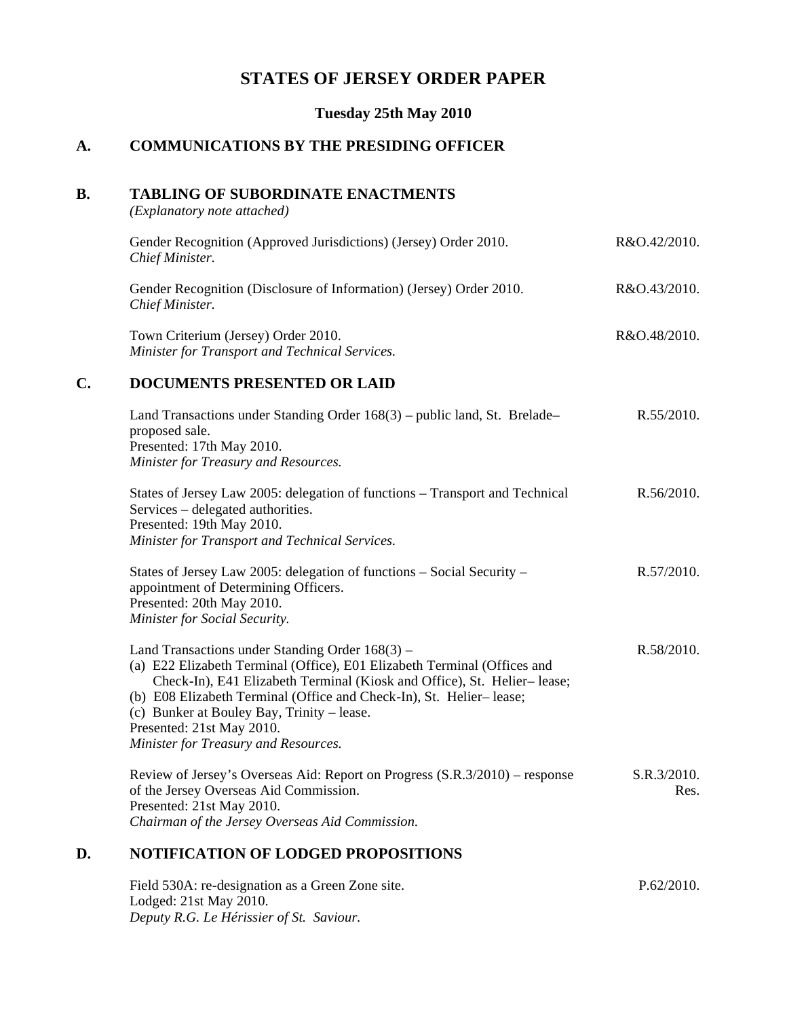## **STATES OF JERSEY ORDER PAPER**

**Tuesday 25th May 2010**

#### **A. COMMUNICATIONS BY THE PRESIDING OFFICER**

#### **B. TABLING OF SUBORDINATE ENACTMENTS**

*(Explanatory note attached)*

| Gender Recognition (Approved Jurisdictions) (Jersey) Order 2010.<br>Chief Minister.    | R&O.42/2010. |
|----------------------------------------------------------------------------------------|--------------|
| Gender Recognition (Disclosure of Information) (Jersey) Order 2010.<br>Chief Minister. | R&O.43/2010. |

Town Criterium (Jersey) Order 2010. *Minister for Transport and Technical Services.* R&O.48/2010.

### **C. DOCUMENTS PRESENTED OR LAID**

| Land Transactions under Standing Order $168(3)$ – public land, St. Brelade– | R.55/2010. |
|-----------------------------------------------------------------------------|------------|
| proposed sale.                                                              |            |
| Presented: 17th May 2010.                                                   |            |
| Minister for Treasury and Resources.                                        |            |
|                                                                             |            |

| States of Jersey Law 2005: delegation of functions – Transport and Technical | R.56/2010. |
|------------------------------------------------------------------------------|------------|
| Services – delegated authorities.                                            |            |
| Presented: 19th May 2010.                                                    |            |
| Minister for Transport and Technical Services.                               |            |

| States of Jersey Law 2005: delegation of functions $-$ Social Security $-$ | R.57/2010. |
|----------------------------------------------------------------------------|------------|
| appointment of Determining Officers.                                       |            |
| Presented: 20th May 2010.                                                  |            |
| Minister for Social Security.                                              |            |

| Land Transactions under Standing Order $168(3)$ –                        | R.58/2010. |
|--------------------------------------------------------------------------|------------|
| (a) E22 Elizabeth Terminal (Office), E01 Elizabeth Terminal (Offices and |            |
| Check-In), E41 Elizabeth Terminal (Kiosk and Office), St. Helier-lease;  |            |
| (b) E08 Elizabeth Terminal (Office and Check-In), St. Helier-lease;      |            |
| (c) Bunker at Bouley Bay, Trinity – lease.                               |            |
| Presented: 21st May 2010.                                                |            |
| Minister for Treasury and Resources.                                     |            |

Review of Jersey's Overseas Aid: Report on Progress (S.R.3/2010) – response of the Jersey Overseas Aid Commission. Presented: 21st May 2010. *Chairman of the Jersey Overseas Aid Commission.* S.R.3/2010. Res.

#### **D. NOTIFICATION OF LODGED PROPOSITIONS**

Field 530A: re-designation as a Green Zone site. Lodged: 21st May 2010. *Deputy R.G. Le Hérissier of St. Saviour.* P.62/2010.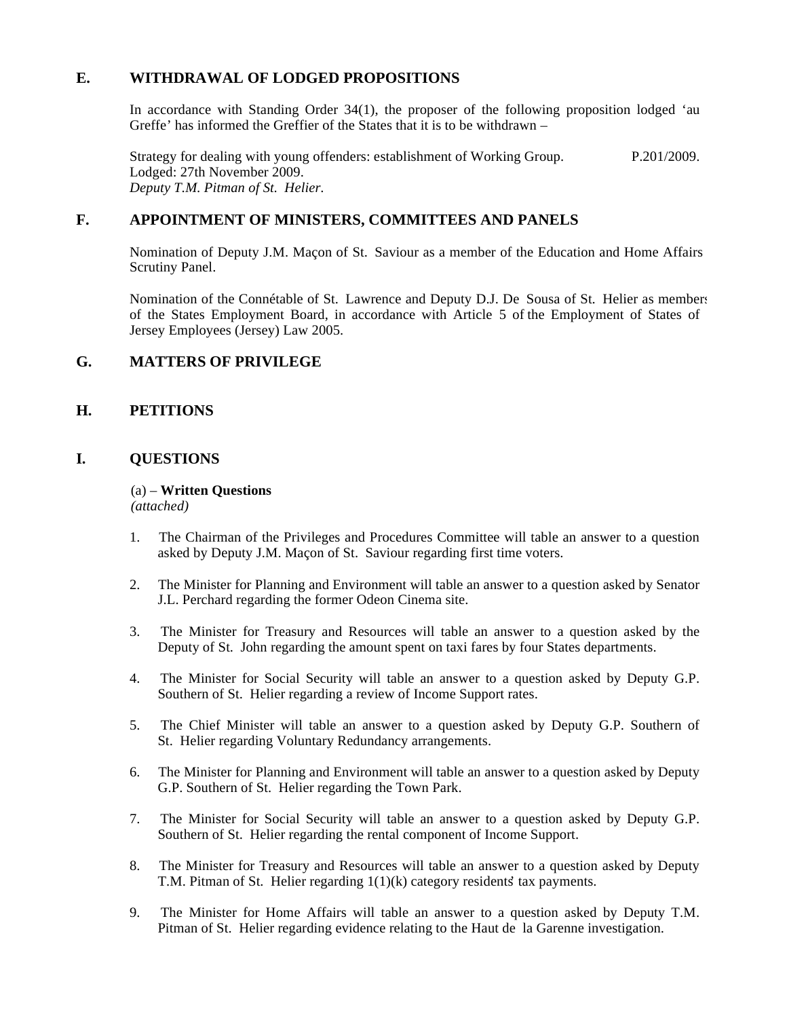### **E. WITHDRAWAL OF LODGED PROPOSITIONS**

In accordance with Standing Order 34(1), the proposer of the following proposition lodged 'au Greffe' has informed the Greffier of the States that it is to be withdrawn  $-$ 

Strategy for dealing with young offenders: establishment of Working Group. Lodged: 27th November 2009. *Deputy T.M. Pitman of St. Helier.* P.201/2009.

### **F. APPOINTMENT OF MINISTERS, COMMITTEES AND PANELS**

Nomination of Deputy J.M. Maçon of St. Saviour as a member of the Education and Home Affairs Scrutiny Panel.

Nomination of the Connétable of St. Lawrence and Deputy D.J. De Sousa of St. Helier as members of the States Employment Board, in accordance with Article 5 of the Employment of States of Jersey Employees (Jersey) Law 2005.

#### **G. MATTERS OF PRIVILEGE**

### **H. PETITIONS**

#### **I. QUESTIONS**

#### (a) – **Written Questions** *(attached)*

- 1. The Chairman of the Privileges and Procedures Committee will table an answer to a question asked by Deputy J.M. Maçon of St. Saviour regarding first time voters.
- 2. The Minister for Planning and Environment will table an answer to a question asked by Senator J.L. Perchard regarding the former Odeon Cinema site.
- 3. The Minister for Treasury and Resources will table an answer to a question asked by the Deputy of St. John regarding the amount spent on taxi fares by four States departments.
- 4. The Minister for Social Security will table an answer to a question asked by Deputy G.P. Southern of St. Helier regarding a review of Income Support rates.
- 5. The Chief Minister will table an answer to a question asked by Deputy G.P. Southern of St. Helier regarding Voluntary Redundancy arrangements.
- 6. The Minister for Planning and Environment will table an answer to a question asked by Deputy G.P. Southern of St. Helier regarding the Town Park.
- 7. The Minister for Social Security will table an answer to a question asked by Deputy G.P. Southern of St. Helier regarding the rental component of Income Support.
- 8. The Minister for Treasury and Resources will table an answer to a question asked by Deputy T.M. Pitman of St. Helier regarding  $1(1)(k)$  category residents' tax payments.
- 9. The Minister for Home Affairs will table an answer to a question asked by Deputy T.M. Pitman of St. Helier regarding evidence relating to the Haut de la Garenne investigation.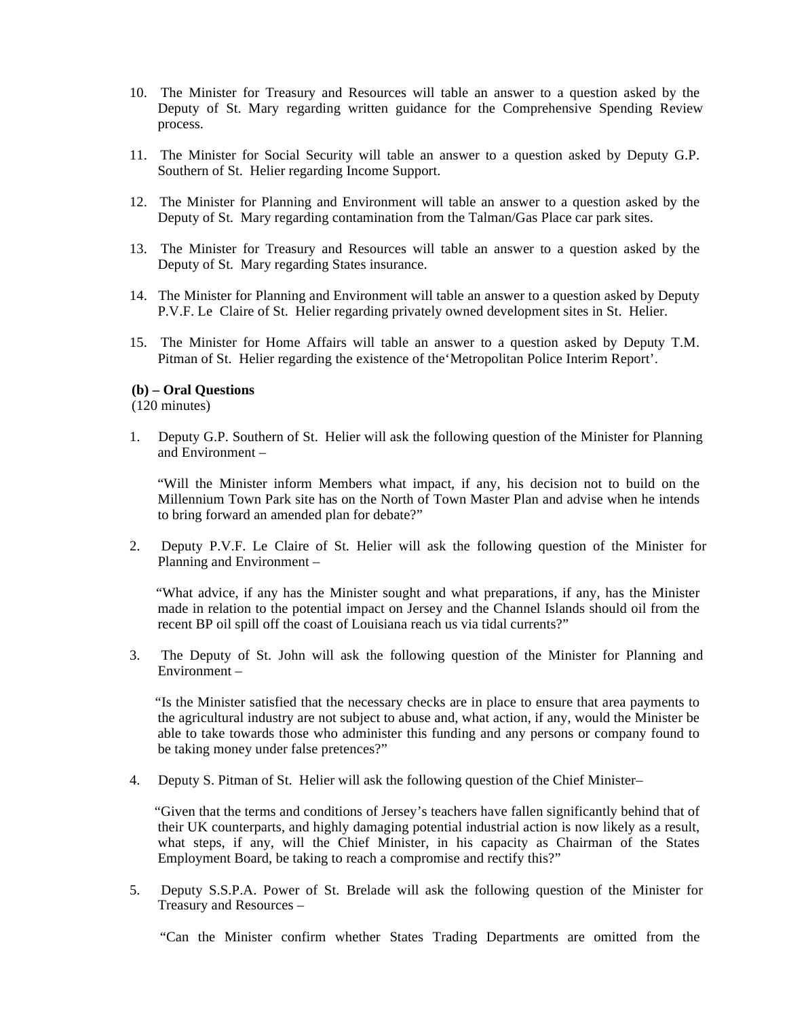- 10. The Minister for Treasury and Resources will table an answer to a question asked by the Deputy of St. Mary regarding written guidance for the Comprehensive Spending Review process.
- 11. The Minister for Social Security will table an answer to a question asked by Deputy G.P. Southern of St. Helier regarding Income Support.
- 12. The Minister for Planning and Environment will table an answer to a question asked by the Deputy of St. Mary regarding contamination from the Talman/Gas Place car park sites.
- 13. The Minister for Treasury and Resources will table an answer to a question asked by the Deputy of St. Mary regarding States insurance.
- 14. The Minister for Planning and Environment will table an answer to a question asked by Deputy P.V.F. Le Claire of St. Helier regarding privately owned development sites in St. Helier.
- 15. The Minister for Home Affairs will table an answer to a question asked by Deputy T.M. Pitman of St. Helier regarding the existence of the'Metropolitan Police Interim Report'.

#### **(b) – Oral Questions**

(120 minutes)

1. Deputy G.P. Southern of St. Helier will ask the following question of the Minister for Planning and Environment –

 "Will the Minister inform Members what impact, if any, his decision not to build on the Millennium Town Park site has on the North of Town Master Plan and advise when he intends to bring forward an amended plan for debate?"

2. Deputy P.V.F. Le Claire of St. Helier will ask the following question of the Minister for Planning and Environment –

 "What advice, if any has the Minister sought and what preparations, if any, has the Minister made in relation to the potential impact on Jersey and the Channel Islands should oil from the recent BP oil spill off the coast of Louisiana reach us via tidal currents?"

3. The Deputy of St. John will ask the following question of the Minister for Planning and Environment –

 "Is the Minister satisfied that the necessary checks are in place to ensure that area payments to the agricultural industry are not subject to abuse and, what action, if any, would the Minister be able to take towards those who administer this funding and any persons or company found to be taking money under false pretences?"

4. Deputy S. Pitman of St. Helier will ask the following question of the Chief Minister –

 "Given that the terms and conditions of Jersey's teachers have fallen significantly behind that of their UK counterparts, and highly damaging potential industrial action is now likely as a result, what steps, if any, will the Chief Minister, in his capacity as Chairman of the States Employment Board, be taking to reach a compromise and rectify this?"

5. Deputy S.S.P.A. Power of St. Brelade will ask the following question of the Minister for Treasury and Resources –

"Can the Minister confirm whether States Trading Departments are omitted from the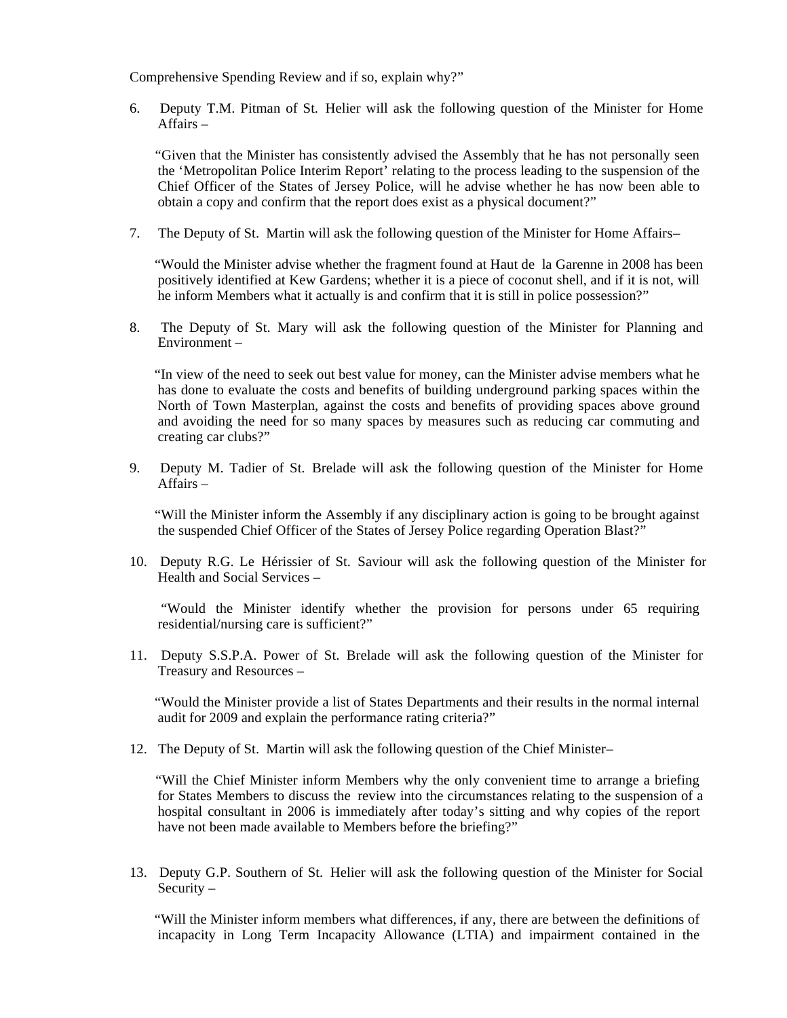Comprehensive Spending Review and if so, explain why?"

6. Deputy T.M. Pitman of St. Helier will ask the following question of the Minister for Home Affairs –

 "Given that the Minister has consistently advised the Assembly that he has not personally seen the 'Metropolitan Police Interim Report' relating to the process leading to the suspension of the Chief Officer of the States of Jersey Police, will he advise whether he has now been able to obtain a copy and confirm that the report does exist as a physical document?"

7. The Deputy of St. Martin will ask the following question of the Minister for Home Affairs –

 "Would the Minister advise whether the fragment found at Haut de la Garenne in 2008 has been positively identified at Kew Gardens; whether it is a piece of coconut shell, and if it is not, will he inform Members what it actually is and confirm that it is still in police possession?"

8. The Deputy of St. Mary will ask the following question of the Minister for Planning and Environment –

 "In view of the need to seek out best value for money, can the Minister advise members what he has done to evaluate the costs and benefits of building underground parking spaces within the North of Town Masterplan, against the costs and benefits of providing spaces above ground and avoiding the need for so many spaces by measures such as reducing car commuting and creating car clubs?"

9. Deputy M. Tadier of St. Brelade will ask the following question of the Minister for Home Affairs –

 "Will the Minister inform the Assembly if any disciplinary action is going to be brought against the suspended Chief Officer of the States of Jersey Police regarding Operation Blast?"

10. Deputy R.G. Le Hérissier of St. Saviour will ask the following question of the Minister for Health and Social Services –

 "Would the Minister identify whether the provision for persons under 65 requiring residential/nursing care is sufficient?"

11. Deputy S.S.P.A. Power of St. Brelade will ask the following question of the Minister for Treasury and Resources –

 "Would the Minister provide a list of States Departments and their results in the normal internal audit for 2009 and explain the performance rating criteria?"

12. The Deputy of St. Martin will ask the following question of the Chief Minister –

 "Will the Chief Minister inform Members why the only convenient time to arrange a briefing for States Members to discuss the review into the circumstances relating to the suspension of a hospital consultant in 2006 is immediately after today's sitting and why copies of the report have not been made available to Members before the briefing?"

13. Deputy G.P. Southern of St. Helier will ask the following question of the Minister for Social Security –

 "Will the Minister inform members what differences, if any, there are between the definitions of incapacity in Long Term Incapacity Allowance (LTIA) and impairment contained in the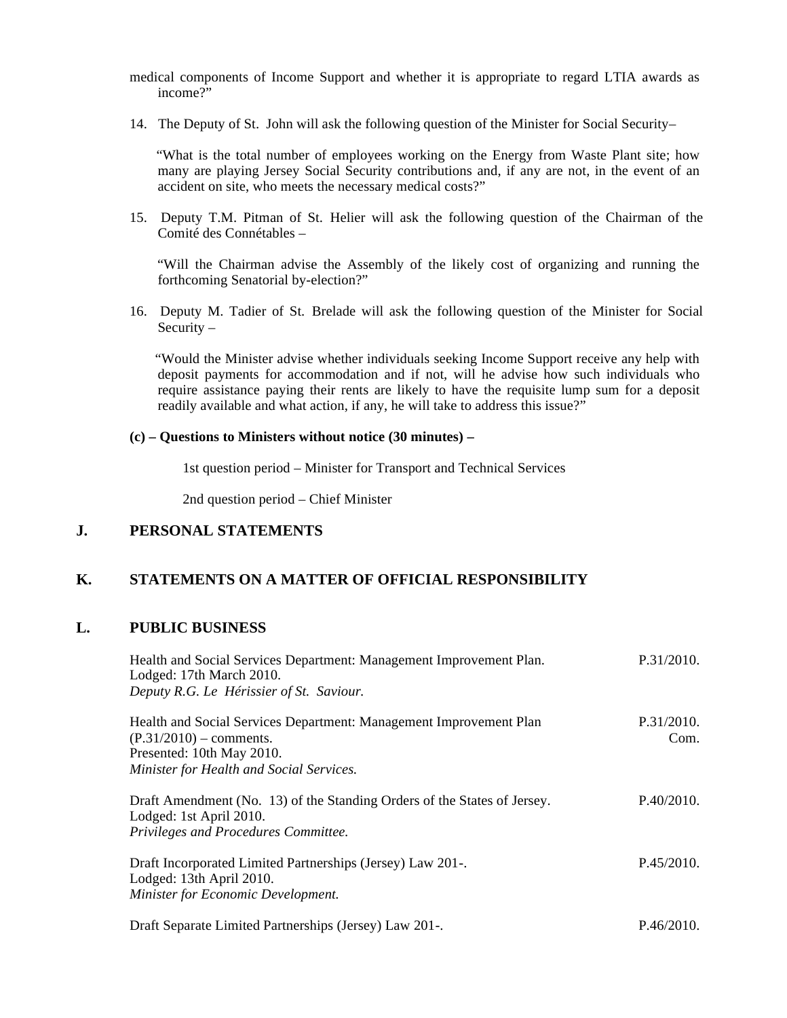medical components of Income Support and whether it is appropriate to regard LTIA awards as income $\hat{r}$ 

14. The Deputy of St. John will ask the following question of the Minister for Social Security –

 "What is the total number of employees working on the Energy from Waste Plant site; how many are playing Jersey Social Security contributions and, if any are not, in the event of an accident on site, who meets the necessary medical costs?"

15. Deputy T.M. Pitman of St. Helier will ask the following question of the Chairman of the Comité des Connétables –

 "Will the Chairman advise the Assembly of the likely cost of organizing and running the forthcoming Senatorial by-election?"

16. Deputy M. Tadier of St. Brelade will ask the following question of the Minister for Social Security –

 "Would the Minister advise whether individuals seeking Income Support receive any help with deposit payments for accommodation and if not, will he advise how such individuals who require assistance paying their rents are likely to have the requisite lump sum for a deposit readily available and what action, if any, he will take to address this issue?"

#### **(c) – Questions to Ministers without notice (30 minutes) –**

1st question period – Minister for Transport and Technical Services

2nd question period – Chief Minister

### **J. PERSONAL STATEMENTS**

### **K. STATEMENTS ON A MATTER OF OFFICIAL RESPONSIBILITY**

#### **L. PUBLIC BUSINESS**

| Health and Social Services Department: Management Improvement Plan.<br>Lodged: 17th March 2010.<br>Deputy R.G. Le Hérissier of St. Saviour.                              | P.31/2010.         |
|--------------------------------------------------------------------------------------------------------------------------------------------------------------------------|--------------------|
| Health and Social Services Department: Management Improvement Plan<br>$(P.31/2010)$ – comments.<br>Presented: 10th May 2010.<br>Minister for Health and Social Services. | P.31/2010.<br>Com. |
| Draft Amendment (No. 13) of the Standing Orders of the States of Jersey.<br>Lodged: 1st April 2010.<br>Privileges and Procedures Committee.                              | P.40/2010.         |
| Draft Incorporated Limited Partnerships (Jersey) Law 201-.<br>Lodged: 13th April 2010.<br>Minister for Economic Development.                                             | P.45/2010.         |
| Draft Separate Limited Partnerships (Jersey) Law 201-.                                                                                                                   | P.46/2010.         |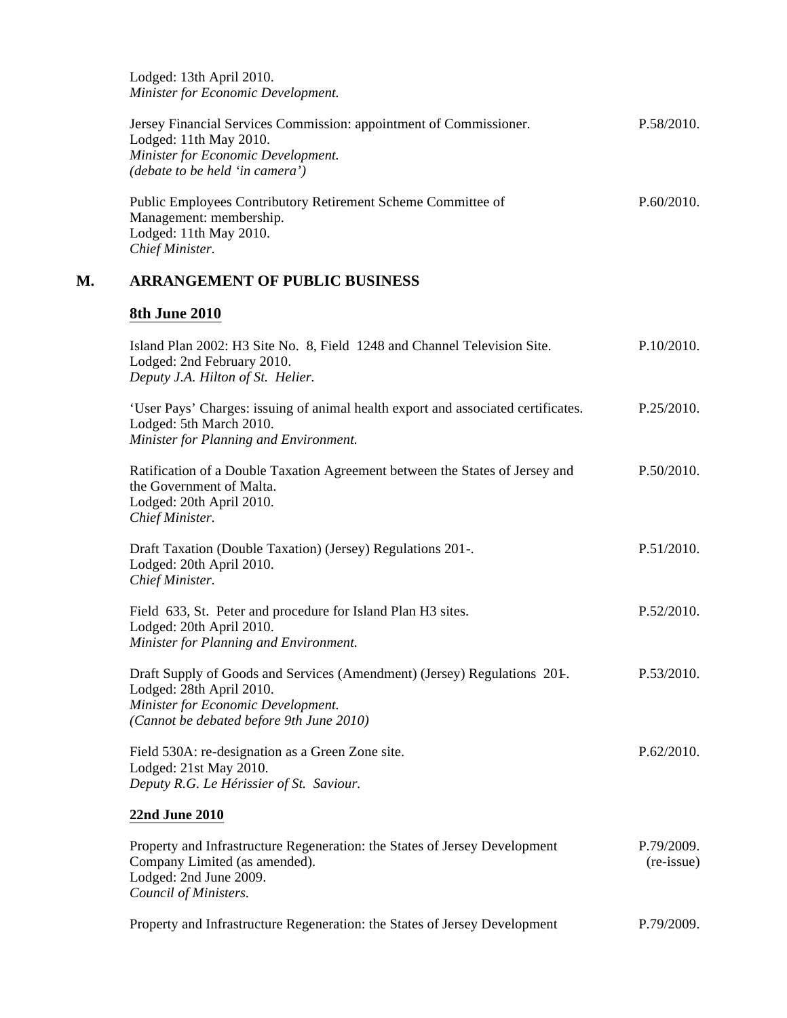Lodged: 13th April 2010. *Minister for Economic Development.*

| Jersey Financial Services Commission: appointment of Commissioner. | P.58/2010. |
|--------------------------------------------------------------------|------------|
| Lodged: 11th May 2010.                                             |            |
| Minister for Economic Development.                                 |            |
| <i>(debate to be held 'in camera')</i>                             |            |
|                                                                    |            |

| Public Employees Contributory Retirement Scheme Committee of | P.60/2010. |
|--------------------------------------------------------------|------------|
| Management: membership.                                      |            |
| Lodged: 11th May 2010.                                       |            |
| Chief Minister.                                              |            |

## **M. ARRANGEMENT OF PUBLIC BUSINESS**

## **8th June 2010**

| Island Plan 2002: H3 Site No. 8, Field 1248 and Channel Television Site.<br>Lodged: 2nd February 2010.<br>Deputy J.A. Hilton of St. Helier.                                             | P.10/2010.                        |
|-----------------------------------------------------------------------------------------------------------------------------------------------------------------------------------------|-----------------------------------|
| 'User Pays' Charges: issuing of animal health export and associated certificates.<br>Lodged: 5th March 2010.<br>Minister for Planning and Environment.                                  | P.25/2010.                        |
| Ratification of a Double Taxation Agreement between the States of Jersey and<br>the Government of Malta.<br>Lodged: 20th April 2010.<br>Chief Minister.                                 | P.50/2010.                        |
| Draft Taxation (Double Taxation) (Jersey) Regulations 201-.<br>Lodged: 20th April 2010.<br>Chief Minister.                                                                              | P.51/2010.                        |
| Field 633, St. Peter and procedure for Island Plan H3 sites.<br>Lodged: 20th April 2010.<br>Minister for Planning and Environment.                                                      | P.52/2010.                        |
| Draft Supply of Goods and Services (Amendment) (Jersey) Regulations 201-.<br>Lodged: 28th April 2010.<br>Minister for Economic Development.<br>(Cannot be debated before 9th June 2010) | P.53/2010.                        |
| Field 530A: re-designation as a Green Zone site.<br>Lodged: 21st May 2010.<br>Deputy R.G. Le Hérissier of St. Saviour.                                                                  | P.62/2010.                        |
| <b>22nd June 2010</b>                                                                                                                                                                   |                                   |
| Property and Infrastructure Regeneration: the States of Jersey Development<br>Company Limited (as amended).<br>Lodged: 2nd June 2009.<br>Council of Ministers.                          | P.79/2009.<br>$(re\text{-}issue)$ |
| Property and Infrastructure Regeneration: the States of Jersey Development                                                                                                              | P.79/2009.                        |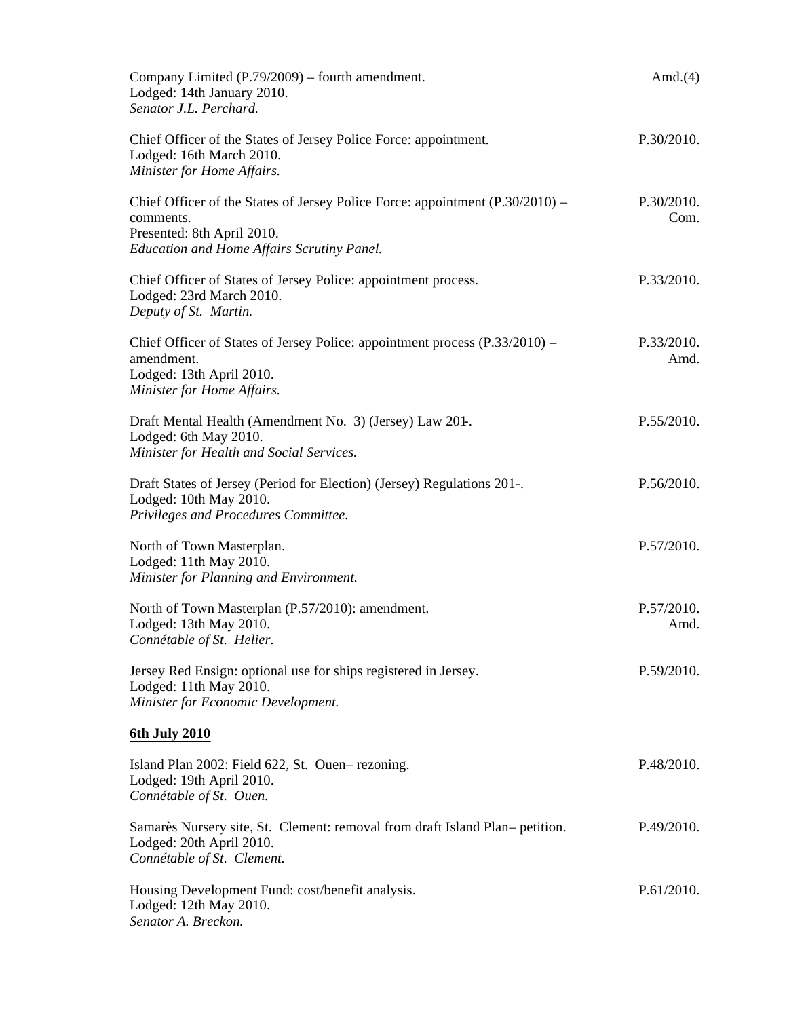| Company Limited (P.79/2009) – fourth amendment.<br>Lodged: 14th January 2010.<br>Senator J.L. Perchard.                                                                         | Amd. $(4)$         |
|---------------------------------------------------------------------------------------------------------------------------------------------------------------------------------|--------------------|
| Chief Officer of the States of Jersey Police Force: appointment.<br>Lodged: 16th March 2010.<br>Minister for Home Affairs.                                                      | P.30/2010.         |
| Chief Officer of the States of Jersey Police Force: appointment $(P.30/2010)$ –<br>comments.<br>Presented: 8th April 2010.<br><b>Education and Home Affairs Scrutiny Panel.</b> | P.30/2010.<br>Com. |
| Chief Officer of States of Jersey Police: appointment process.<br>Lodged: 23rd March 2010.<br>Deputy of St. Martin.                                                             | P.33/2010.         |
| Chief Officer of States of Jersey Police: appointment process (P.33/2010) –<br>amendment.<br>Lodged: 13th April 2010.<br>Minister for Home Affairs.                             | P.33/2010.<br>Amd. |
| Draft Mental Health (Amendment No. 3) (Jersey) Law 201-<br>Lodged: 6th May 2010.<br>Minister for Health and Social Services.                                                    | P.55/2010.         |
| Draft States of Jersey (Period for Election) (Jersey) Regulations 201-.<br>Lodged: 10th May 2010.<br>Privileges and Procedures Committee.                                       | P.56/2010.         |
| North of Town Masterplan.<br>Lodged: 11th May 2010.<br>Minister for Planning and Environment.                                                                                   | P.57/2010.         |
| North of Town Masterplan (P.57/2010): amendment.<br>Lodged: 13th May 2010.<br>Connétable of St. Helier.                                                                         | P.57/2010.<br>Amd. |
| Jersey Red Ensign: optional use for ships registered in Jersey.<br>Lodged: 11th May 2010.<br>Minister for Economic Development.                                                 | P.59/2010.         |
| 6th July 2010                                                                                                                                                                   |                    |
| Island Plan 2002: Field 622, St. Ouen–rezoning.<br>Lodged: 19th April 2010.<br>Connétable of St. Ouen.                                                                          | P.48/2010.         |
| Samarès Nursery site, St. Clement: removal from draft Island Plan– petition.<br>Lodged: 20th April 2010.<br>Connétable of St. Clement.                                          | P.49/2010.         |
| Housing Development Fund: cost/benefit analysis.<br>Lodged: 12th May 2010.<br>Senator A. Breckon.                                                                               | P.61/2010.         |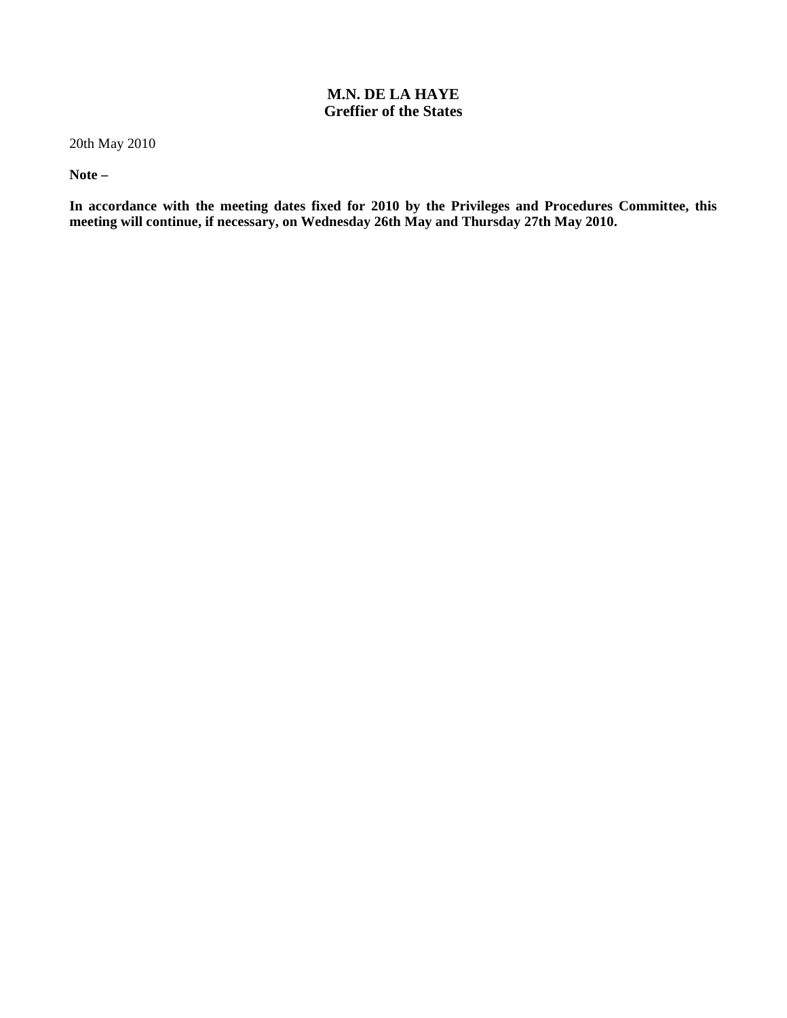### **M.N. DE LA HAYE Greffier of the States**

20th May 2010

**Note –**

**In accordance with the meeting dates fixed for 2010 by the Privileges and Procedures Committee, this meeting will continue, if necessary, on Wednesday 26th May and Thursday 27th May 2010.**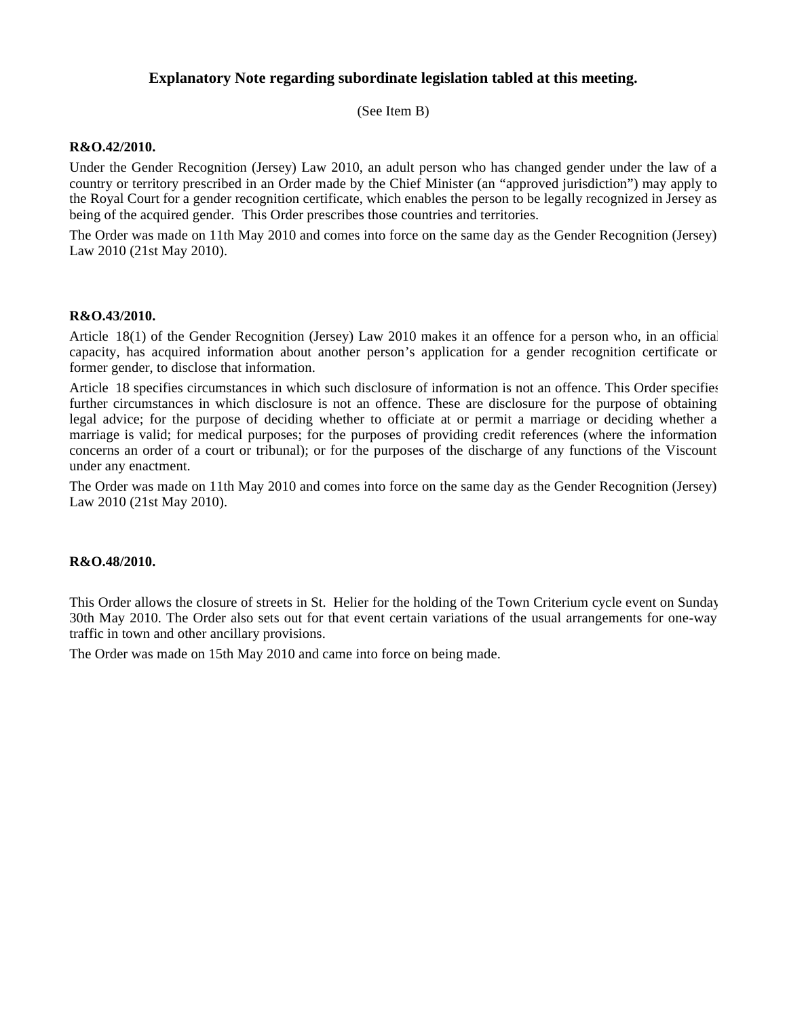#### **Explanatory Note regarding subordinate legislation tabled at this meeting.**

(See Item B)

#### **R&O.42/2010.**

Under the Gender Recognition (Jersey) Law 2010, an adult person who has changed gender under the law of a country or territory prescribed in an Order made by the Chief Minister (an "approved jurisdiction") may apply to the Royal Court for a gender recognition certificate, which enables the person to be legally recognized in Jersey as being of the acquired gender. This Order prescribes those countries and territories.

The Order was made on 11th May 2010 and comes into force on the same day as the Gender Recognition (Jersey) Law 2010 (21st May 2010).

#### **R&O.43/2010.**

Article 18(1) of the Gender Recognition (Jersey) Law 2010 makes it an offence for a person who, in an official capacity, has acquired information about another person's application for a gender recognition certificate or former gender, to disclose that information.

Article 18 specifies circumstances in which such disclosure of information is not an offence. This Order specifies further circumstances in which disclosure is not an offence. These are disclosure for the purpose of obtaining legal advice; for the purpose of deciding whether to officiate at or permit a marriage or deciding whether a marriage is valid; for medical purposes; for the purposes of providing credit references (where the information concerns an order of a court or tribunal); or for the purposes of the discharge of any functions of the Viscount under any enactment.

The Order was made on 11th May 2010 and comes into force on the same day as the Gender Recognition (Jersey) Law 2010 (21st May 2010).

#### **R&O.48/2010.**

This Order allows the closure of streets in St. Helier for the holding of the Town Criterium cycle event on Sunday 30th May 2010. The Order also sets out for that event certain variations of the usual arrangements for one-way traffic in town and other ancillary provisions.

The Order was made on 15th May 2010 and came into force on being made.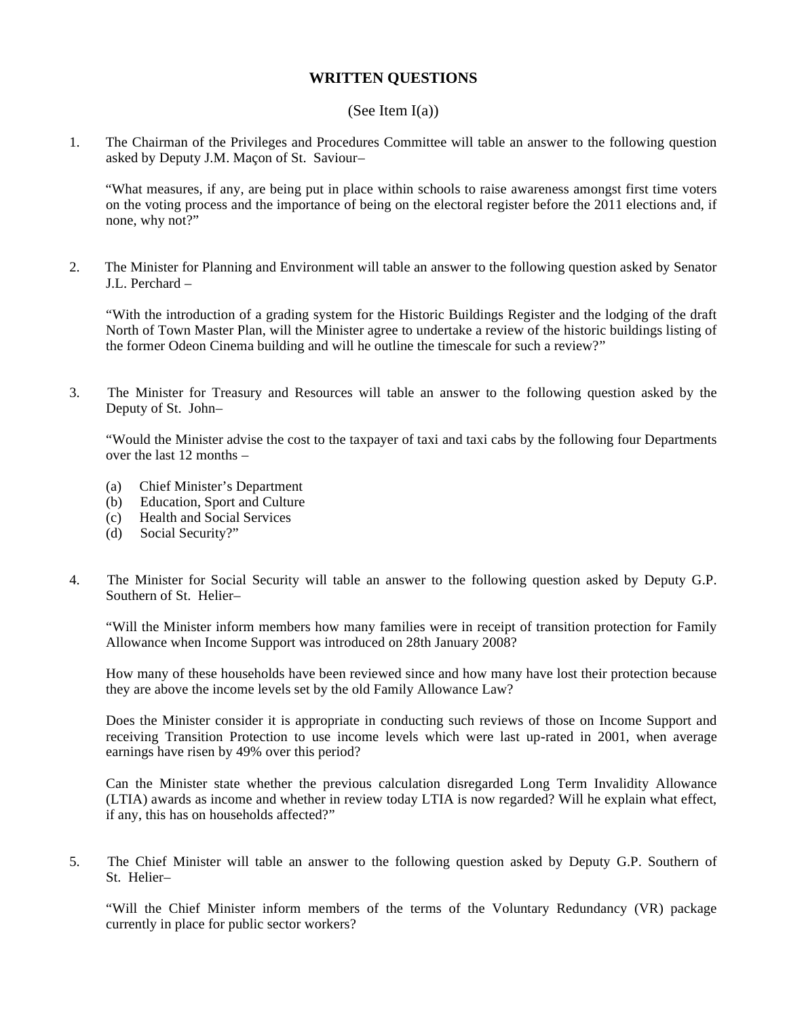#### **WRITTEN QUESTIONS**

#### (See Item I(a))

1. The Chairman of the Privileges and Procedures Committee will table an answer to the following question asked by Deputy J.M. Maçon of St. Saviour –

 "What measures, if any, are being put in place within schools to raise awareness amongst first time voters on the voting process and the importance of being on the electoral register before the 2011 elections and, if none, why not?"

2. The Minister for Planning and Environment will table an answer to the following question asked by Senator J.L. Perchard –

"With the introduction of a grading system for the Historic Buildings Register and the lodging of the draft North of Town Master Plan, will the Minister agree to undertake a review of the historic buildings listing of the former Odeon Cinema building and will he outline the timescale for such a review?"

3. The Minister for Treasury and Resources will table an answer to the following question asked by the Deputy of St. John-

"Would the Minister advise the cost to the taxpayer of taxi and taxi cabs by the following four Departments over the last 12 months –

- (a) Chief Minister's Department
- (b) Education, Sport and Culture
- (c) Health and Social Services
- (d) Social Security?"
- 4. The Minister for Social Security will table an answer to the following question asked by Deputy G.P. Southern of St. Helier-

"Will the Minister inform members how many families were in receipt of transition protection for Family Allowance when Income Support was introduced on 28th January 2008?

How many of these households have been reviewed since and how many have lost their protection because they are above the income levels set by the old Family Allowance Law?

Does the Minister consider it is appropriate in conducting such reviews of those on Income Support and receiving Transition Protection to use income levels which were last up-rated in 2001, when average earnings have risen by 49% over this period?

Can the Minister state whether the previous calculation disregarded Long Term Invalidity Allowance (LTIA) awards as income and whether in review today LTIA is now regarded? Will he explain what effect, if any, this has on households affected?"

5. The Chief Minister will table an answer to the following question asked by Deputy G.P. Southern of St. Helier-

"Will the Chief Minister inform members of the terms of the Voluntary Redundancy (VR) package currently in place for public sector workers?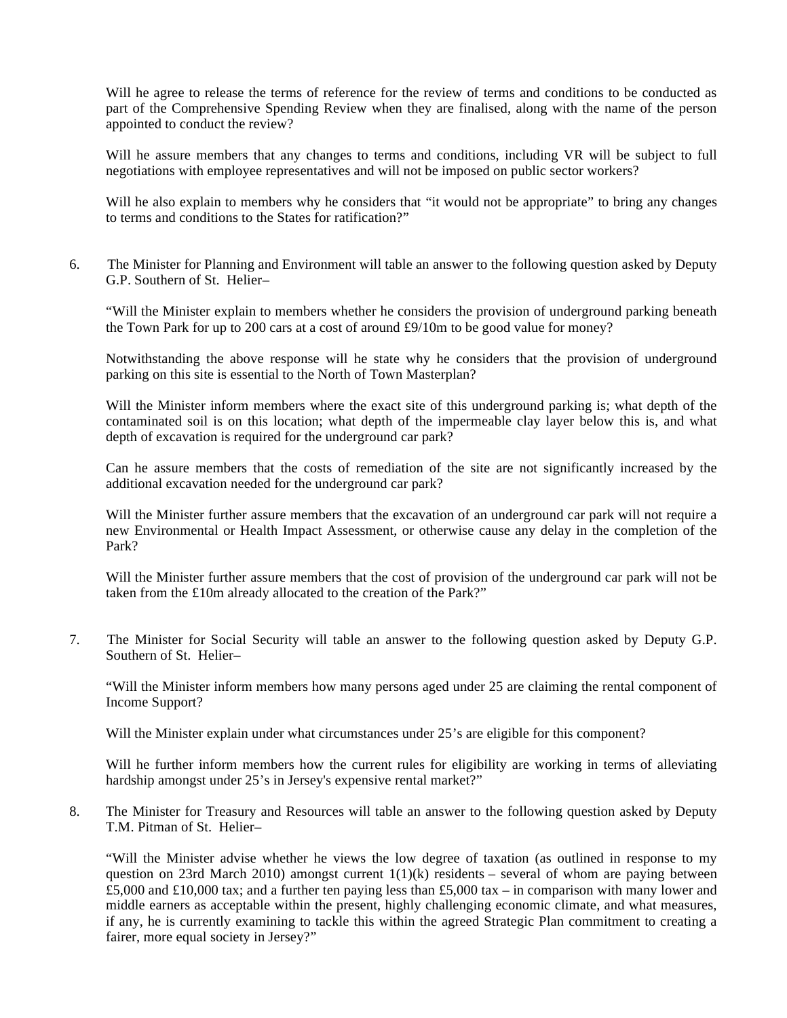Will he agree to release the terms of reference for the review of terms and conditions to be conducted as part of the Comprehensive Spending Review when they are finalised, along with the name of the person appointed to conduct the review?

Will he assure members that any changes to terms and conditions, including VR will be subject to full negotiations with employee representatives and will not be imposed on public sector workers?

Will he also explain to members why he considers that "it would not be appropriate" to bring any changes to terms and conditions to the States for ratification?"

6. The Minister for Planning and Environment will table an answer to the following question asked by Deputy G.P. Southern of St. Helier-

"Will the Minister explain to members whether he considers the provision of underground parking beneath the Town Park for up to 200 cars at a cost of around £9/10m to be good value for money?

Notwithstanding the above response will he state why he considers that the provision of underground parking on this site is essential to the North of Town Masterplan?

Will the Minister inform members where the exact site of this underground parking is; what depth of the contaminated soil is on this location; what depth of the impermeable clay layer below this is, and what depth of excavation is required for the underground car park?

Can he assure members that the costs of remediation of the site are not significantly increased by the additional excavation needed for the underground car park?

Will the Minister further assure members that the excavation of an underground car park will not require a new Environmental or Health Impact Assessment, or otherwise cause any delay in the completion of the Park?

Will the Minister further assure members that the cost of provision of the underground car park will not be taken from the £10m already allocated to the creation of the Park?"

7. The Minister for Social Security will table an answer to the following question asked by Deputy G.P. Southern of St. Helier-

"Will the Minister inform members how many persons aged under 25 are claiming the rental component of Income Support?

Will the Minister explain under what circumstances under 25's are eligible for this component?

Will he further inform members how the current rules for eligibility are working in terms of alleviating hardship amongst under 25's in Jersey's expensive rental market?"

8. The Minister for Treasury and Resources will table an answer to the following question asked by Deputy T.M. Pitman of St. Helier-

"Will the Minister advise whether he views the low degree of taxation (as outlined in response to my question on 23rd March 2010) amongst current  $1(1)(k)$  residents – several of whom are paying between £5,000 and £10,000 tax; and a further ten paying less than £5,000 tax – in comparison with many lower and middle earners as acceptable within the present, highly challenging economic climate, and what measures, if any, he is currently examining to tackle this within the agreed Strategic Plan commitment to creating a fairer, more equal society in Jersey?"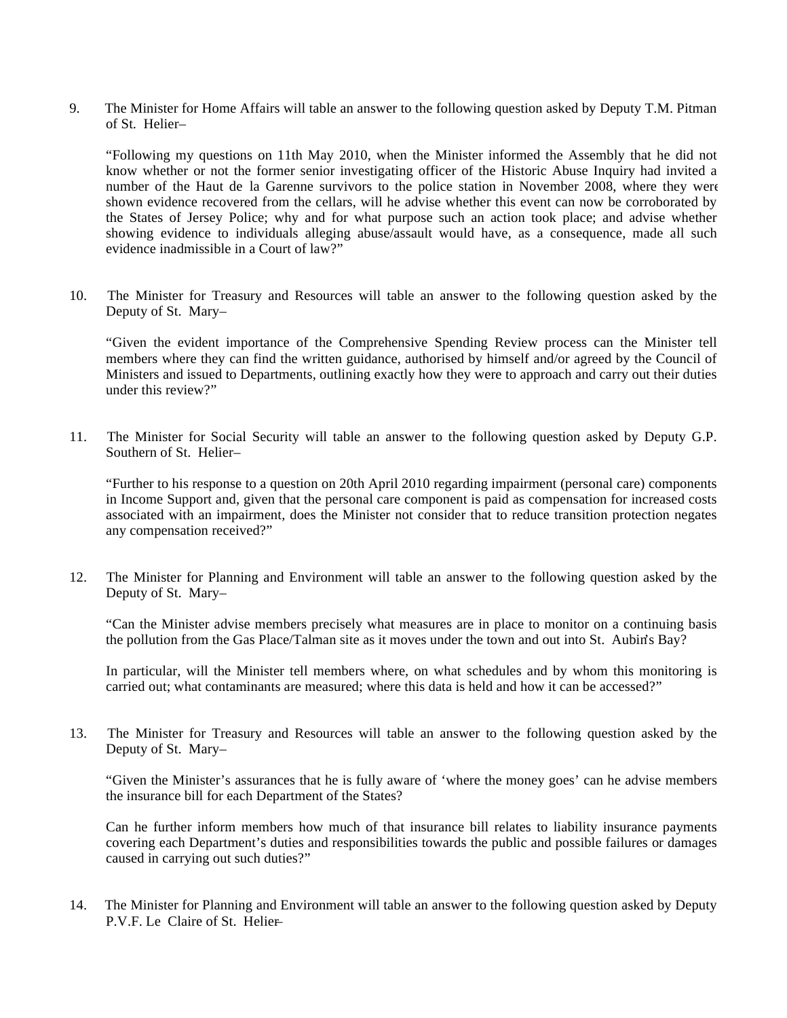9. The Minister for Home Affairs will table an answer to the following question asked by Deputy T.M. Pitman of St. Helier –

"Following my questions on 11th May 2010, when the Minister informed the Assembly that he did not know whether or not the former senior investigating officer of the Historic Abuse Inquiry had invited a number of the Haut de la Garenne survivors to the police station in November 2008, where they were shown evidence recovered from the cellars, will he advise whether this event can now be corroborated by the States of Jersey Police; why and for what purpose such an action took place; and advise whether showing evidence to individuals alleging abuse/assault would have, as a consequence, made all such evidence inadmissible in a Court of law?"

10. The Minister for Treasury and Resources will table an answer to the following question asked by the Deputy of St. Mary-

"Given the evident importance of the Comprehensive Spending Review process can the Minister tell members where they can find the written guidance, authorised by himself and/or agreed by the Council of Ministers and issued to Departments, outlining exactly how they were to approach and carry out their duties under this review?"

11. The Minister for Social Security will table an answer to the following question asked by Deputy G.P. Southern of St. Helier-

"Further to his response to a question on 20th April 2010 regarding impairment (personal care) components in Income Support and, given that the personal care component is paid as compensation for increased costs associated with an impairment, does the Minister not consider that to reduce transition protection negates any compensation received?"

12. The Minister for Planning and Environment will table an answer to the following question asked by the Deputy of St. Mary-

"Can the Minister advise members precisely what measures are in place to monitor on a continuing basis the pollution from the Gas Place/Talman site as it moves under the town and out into St. Aubin's Bay?

In particular, will the Minister tell members where, on what schedules and by whom this monitoring is carried out; what contaminants are measured; where this data is held and how it can be accessed?"

13. The Minister for Treasury and Resources will table an answer to the following question asked by the Deputy of St. Mary-

"Given the Minister's assurances that he is fully aware of 'where the money goes' can he advise members the insurance bill for each Department of the States?

Can he further inform members how much of that insurance bill relates to liability insurance payments covering each Department's duties and responsibilities towards the public and possible failures or damages caused in carrying out such duties?"

14. The Minister for Planning and Environment will table an answer to the following question asked by Deputy P.V.F. Le. Claire of St. Helier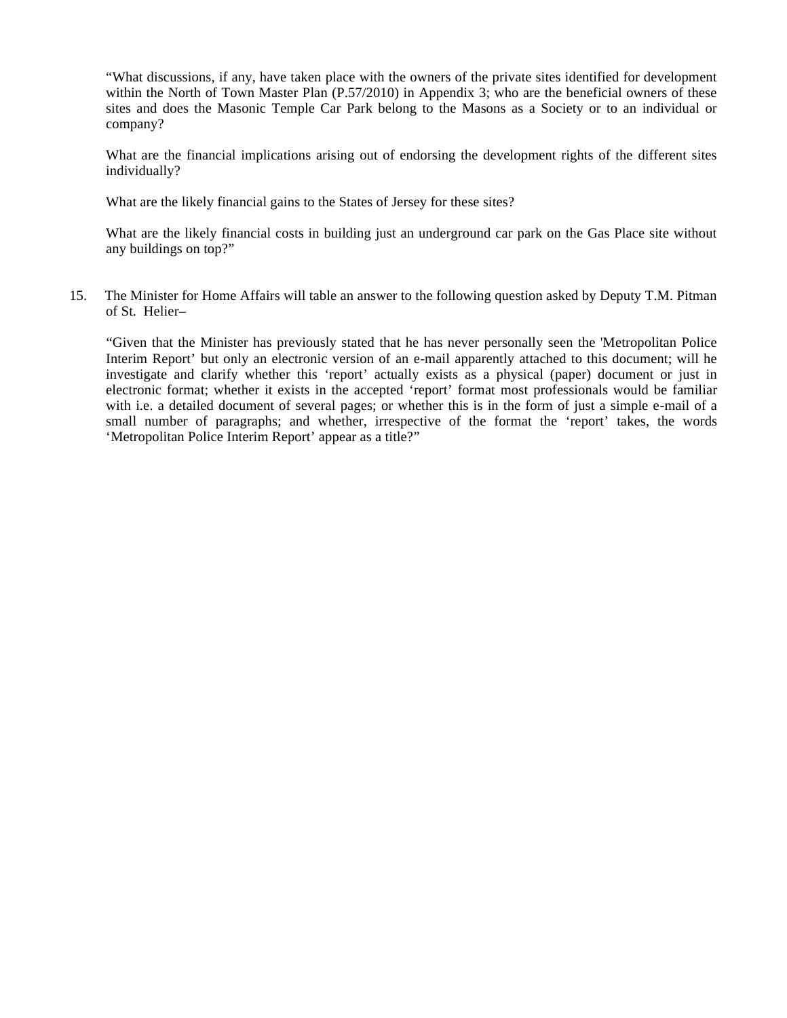"What discussions, if any, have taken place with the owners of the private sites identified for development within the North of Town Master Plan (P.57/2010) in Appendix 3; who are the beneficial owners of these sites and does the Masonic Temple Car Park belong to the Masons as a Society or to an individual or company?

What are the financial implications arising out of endorsing the development rights of the different sites individually?

What are the likely financial gains to the States of Jersey for these sites?

What are the likely financial costs in building just an underground car park on the Gas Place site without any buildings on top?"

15. The Minister for Home Affairs will table an answer to the following question asked by Deputy T.M. Pitman of St. Helier-

 "Given that the Minister has previously stated that he has never personally seen the 'Metropolitan Police Interim Report' but only an electronic version of an e-mail apparently attached to this document; will he investigate and clarify whether this 'report' actually exists as a physical (paper) document or just in electronic format; whether it exists in the accepted 'report' format most professionals would be familiar with i.e. a detailed document of several pages; or whether this is in the form of just a simple e-mail of a small number of paragraphs; and whether, irrespective of the format the 'report' takes, the words 'Metropolitan Police Interim Report' appear as a title?"